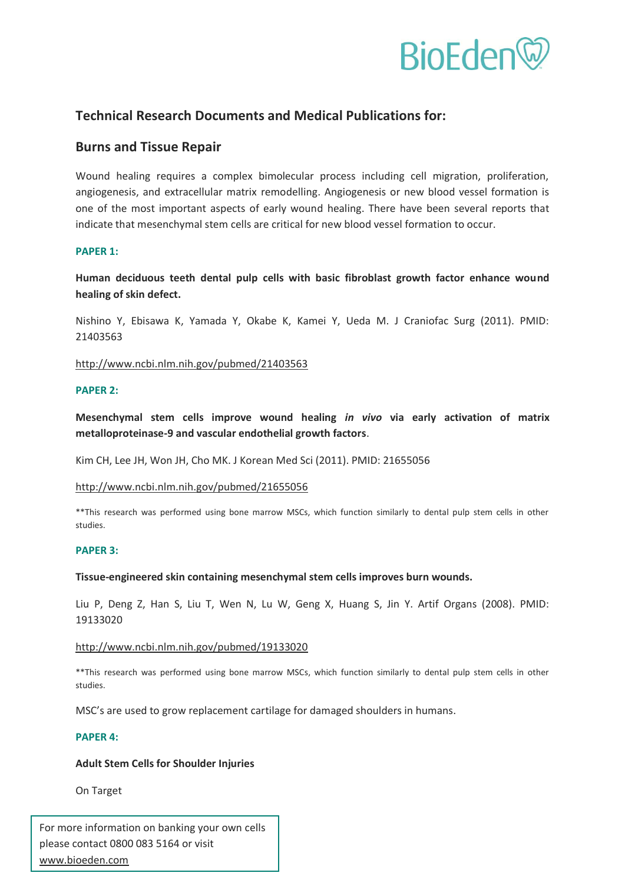

# **Technical Research Documents and Medical Publications for:**

## **Burns and Tissue Repair**

Wound healing requires a complex bimolecular process including cell migration, proliferation, angiogenesis, and extracellular matrix remodelling. Angiogenesis or new blood vessel formation is one of the most important aspects of early wound healing. There have been several reports that indicate that mesenchymal stem cells are critical for new blood vessel formation to occur.

## **PAPER 1:**

**Human deciduous teeth dental pulp cells with basic fibroblast growth factor enhance wound healing of skin defect.** 

Nishino Y, Ebisawa K, Yamada Y, Okabe K, Kamei Y, Ueda M. J Craniofac Surg (2011). PMID: 21403563

## <http://www.ncbi.nlm.nih.gov/pubmed/21403563>

#### **PAPER 2:**

**Mesenchymal stem cells improve wound healing** *in vivo* **via early activation of matrix metalloproteinase-9 and vascular endothelial growth factors**.

Kim CH, Lee JH, Won JH, Cho MK. J Korean Med Sci (2011). PMID: 21655056

#### <http://www.ncbi.nlm.nih.gov/pubmed/21655056>

\*\*This research was performed using bone marrow MSCs, which function similarly to dental pulp stem cells in other studies.

#### **PAPER 3:**

#### **Tissue-engineered skin containing mesenchymal stem cells improves burn wounds.**

Liu P, Deng Z, Han S, Liu T, Wen N, Lu W, Geng X, Huang S, Jin Y. Artif Organs (2008). PMID: 19133020

#### <http://www.ncbi.nlm.nih.gov/pubmed/19133020>

\*\*This research was performed using bone marrow MSCs, which function similarly to dental pulp stem cells in other studies.

MSC's are used to grow replacement cartilage for damaged shoulders in humans.

#### **PAPER 4:**

## **Adult Stem Cells for Shoulder Injuries**

On Target

For more information on banking your own cells please contact 0800 083 5164 or visit www.bioeden.com